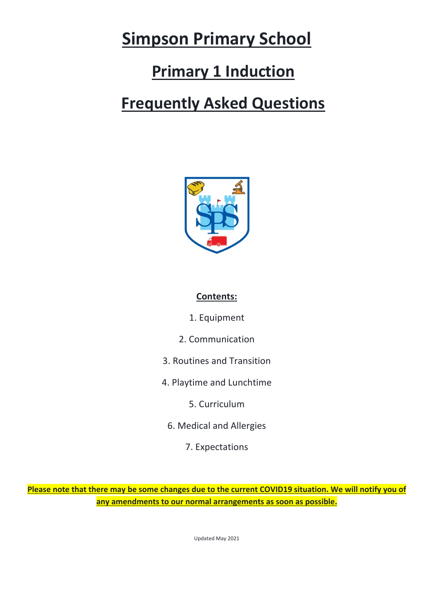# **Simpson Primary School**

## **Primary 1 Induction**

## **Frequently Asked Questions**



## **Contents:**

- 1. Equipment
- 2. Communication
- 3. Routines and Transition
- 4. Playtime and Lunchtime
	- 5. Curriculum
	- 6. Medical and Allergies
		- 7. Expectations

**Please note that there may be some changes due to the current COVID19 situation. We will notify you of any amendments to our normal arrangements as soon as possible.**

Updated May 2021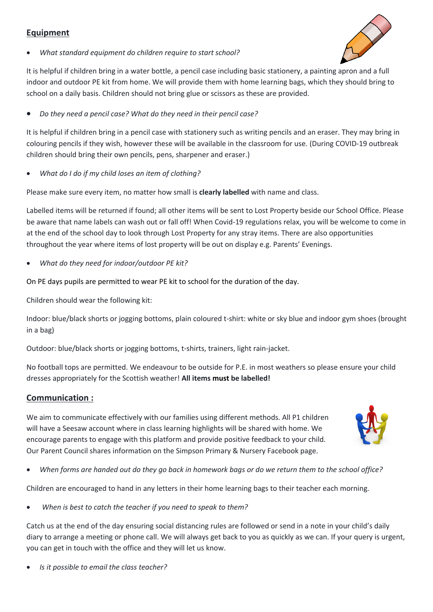### **Equipment**



• *What standard equipment do children require to start school?* 

It is helpful if children bring in a water bottle, a pencil case including basic stationery, a painting apron and a full indoor and outdoor PE kit from home. We will provide them with home learning bags, which they should bring to school on a daily basis. Children should not bring glue or scissors as these are provided.

• *Do they need a pencil case? What do they need in their pencil case?* 

It is helpful if children bring in a pencil case with stationery such as writing pencils and an eraser. They may bring in colouring pencils if they wish, however these will be available in the classroom for use. (During COVID-19 outbreak children should bring their own pencils, pens, sharpener and eraser.)

• *What do I do if my child loses an item of clothing?*

Please make sure every item, no matter how small is **clearly labelled** with name and class.

Labelled items will be returned if found; all other items will be sent to Lost Property beside our School Office. Please be aware that name labels can wash out or fall off! When Covid-19 regulations relax, you will be welcome to come in at the end of the school day to look through Lost Property for any stray items. There are also opportunities throughout the year where items of lost property will be out on display e.g. Parents' Evenings.

• *What do they need for indoor/outdoor PE kit?*

On PE days pupils are permitted to wear PE kit to school for the duration of the day.

Children should wear the following kit:

Indoor: blue/black shorts or jogging bottoms, plain coloured t-shirt: white or sky blue and indoor gym shoes (brought in a bag)

Outdoor: blue/black shorts or jogging bottoms, t-shirts, trainers, light rain-jacket.

No football tops are permitted. We endeavour to be outside for P.E. in most weathers so please ensure your child dresses appropriately for the Scottish weather! **All items must be labelled!**

#### **Communication :**

We aim to communicate effectively with our families using different methods. All P1 children will have a Seesaw account where in class learning highlights will be shared with home. We encourage parents to engage with this platform and provide positive feedback to your child. Our Parent Council shares information on the Simpson Primary & Nursery Facebook page.



• *When forms are handed out do they go back in homework bags or do we return them to the school office?* 

Children are encouraged to hand in any letters in their home learning bags to their teacher each morning.

• *When is best to catch the teacher if you need to speak to them?*

Catch us at the end of the day ensuring social distancing rules are followed or send in a note in your child's daily diary to arrange a meeting or phone call. We will always get back to you as quickly as we can. If your query is urgent, you can get in touch with the office and they will let us know.

• *Is it possible to email the class teacher?*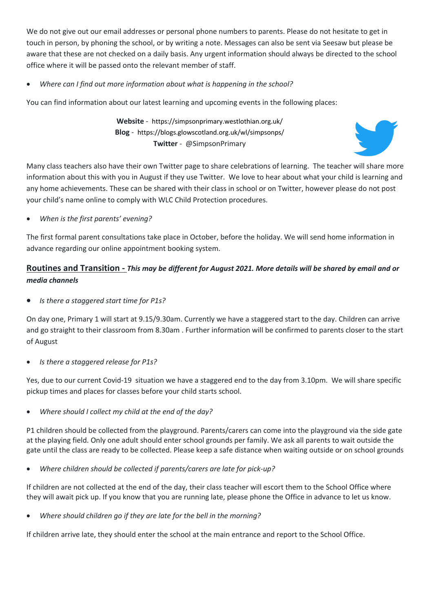We do not give out our email addresses or personal phone numbers to parents. Please do not hesitate to get in touch in person, by phoning the school, or by writing a note. Messages can also be sent via Seesaw but please be aware that these are not checked on a daily basis. Any urgent information should always be directed to the school office where it will be passed onto the relevant member of staff.

#### • *Where can I find out more information about what is happening in the school?*

You can find information about our latest learning and upcoming events in the following places:

**Website** - https://simpsonprimary.westlothian.org.uk/ **Blog** - https://blogs.glowscotland.org.uk/wl/simpsonps/ **Twitter** - @SimpsonPrimary



Many class teachers also have their own Twitter page to share celebrations of learning. The teacher will share more information about this with you in August if they use Twitter. We love to hear about what your child is learning and any home achievements. These can be shared with their class in school or on Twitter, however please do not post your child's name online to comply with WLC Child Protection procedures.

• *When is the first parents' evening?*

The first formal parent consultations take place in October, before the holiday. We will send home information in advance regarding our online appointment booking system.

#### **Routines and Transition -** *This may be different for August 2021. More details will be shared by email and or media channels*

• *Is there a staggered start time for P1s?* 

On day one, Primary 1 will start at 9.15/9.30am. Currently we have a staggered start to the day. Children can arrive and go straight to their classroom from 8.30am . Further information will be confirmed to parents closer to the start of August

• *Is there a staggered release for P1s?*

Yes, due to our current Covid-19 situation we have a staggered end to the day from 3.10pm. We will share specific pickup times and places for classes before your child starts school.

• *Where should I collect my child at the end of the day?*

P1 children should be collected from the playground. Parents/carers can come into the playground via the side gate at the playing field. Only one adult should enter school grounds per family. We ask all parents to wait outside the gate until the class are ready to be collected. Please keep a safe distance when waiting outside or on school grounds

• *Where children should be collected if parents/carers are late for pick-up?*

If children are not collected at the end of the day, their class teacher will escort them to the School Office where they will await pick up. If you know that you are running late, please phone the Office in advance to let us know.

• *Where should children go if they are late for the bell in the morning?*

If children arrive late, they should enter the school at the main entrance and report to the School Office.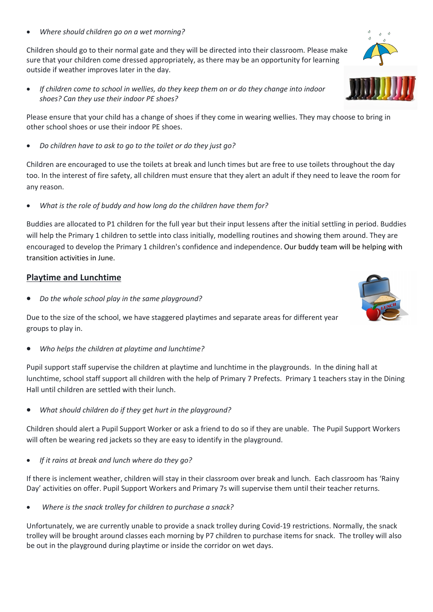• *Where should children go on a wet morning?*

Children should go to their normal gate and they will be directed into their classroom. Please make sure that your children come dressed appropriately, as there may be an opportunity for learning outside if weather improves later in the day.

• *If children come to school in wellies, do they keep them on or do they change into indoor shoes? Can they use their indoor PE shoes?*

Please ensure that your child has a change of shoes if they come in wearing wellies. They may choose to bring in other school shoes or use their indoor PE shoes.

• *Do children have to ask to go to the toilet or do they just go?* 

Children are encouraged to use the toilets at break and lunch times but are free to use toilets throughout the day too. In the interest of fire safety, all children must ensure that they alert an adult if they need to leave the room for any reason.

• *What is the role of buddy and how long do the children have them for?*

Buddies are allocated to P1 children for the full year but their input lessens after the initial settling in period. Buddies will help the Primary 1 children to settle into class initially, modelling routines and showing them around. They are encouraged to develop the Primary 1 children's confidence and independence. Our buddy team will be helping with transition activities in June.

#### **Playtime and Lunchtime**

• *Do the whole school play in the same playground?*

Due to the size of the school, we have staggered playtimes and separate areas for different year groups to play in.

• *Who helps the children at playtime and lunchtime?*

Pupil support staff supervise the children at playtime and lunchtime in the playgrounds. In the dining hall at lunchtime, school staff support all children with the help of Primary 7 Prefects. Primary 1 teachers stay in the Dining Hall until children are settled with their lunch.

• *What should children do if they get hurt in the playground?* 

Children should alert a Pupil Support Worker or ask a friend to do so if they are unable. The Pupil Support Workers will often be wearing red jackets so they are easy to identify in the playground.

• *If it rains at break and lunch where do they go?*

If there is inclement weather, children will stay in their classroom over break and lunch. Each classroom has 'Rainy Day' activities on offer. Pupil Support Workers and Primary 7s will supervise them until their teacher returns.

• *Where is the snack trolley for children to purchase a snack?*

Unfortunately, we are currently unable to provide a snack trolley during Covid-19 restrictions. Normally, the snack trolley will be brought around classes each morning by P7 children to purchase items for snack. The trolley will also be out in the playground during playtime or inside the corridor on wet days.



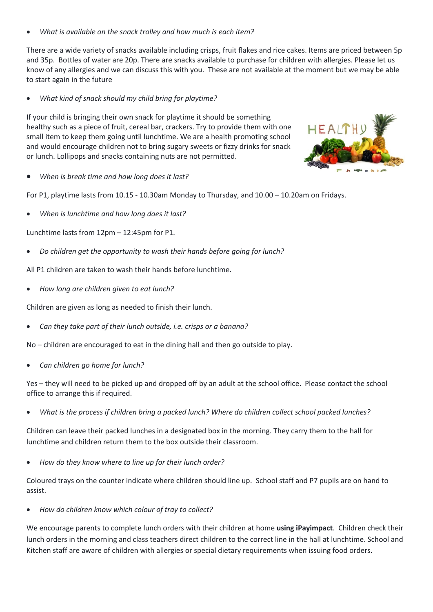• *What is available on the snack trolley and how much is each item?* 

There are a wide variety of snacks available including crisps, fruit flakes and rice cakes. Items are priced between 5p and 35p. Bottles of water are 20p. There are snacks available to purchase for children with allergies. Please let us know of any allergies and we can discuss this with you. These are not available at the moment but we may be able to start again in the future

• *What kind of snack should my child bring for playtime?*

If your child is bringing their own snack for playtime it should be something healthy such as a piece of fruit, cereal bar, crackers. Try to provide them with one small item to keep them going until lunchtime. We are a health promoting school and would encourage children not to bring sugary sweets or fizzy drinks for snack or lunch. Lollipops and snacks containing nuts are not permitted.



• *When is break time and how long does it last?*

For P1, playtime lasts from 10.15 - 10.30am Monday to Thursday, and 10.00 – 10.20am on Fridays.

• *When is lunchtime and how long does it last?* 

Lunchtime lasts from 12pm – 12:45pm for P1.

• *Do children get the opportunity to wash their hands before going for lunch?*

All P1 children are taken to wash their hands before lunchtime.

• *How long are children given to eat lunch?*

Children are given as long as needed to finish their lunch.

• *Can they take part of their lunch outside, i.e. crisps or a banana?*

No – children are encouraged to eat in the dining hall and then go outside to play.

• *Can children go home for lunch?*

Yes – they will need to be picked up and dropped off by an adult at the school office. Please contact the school office to arrange this if required.

• *What is the process if children bring a packed lunch? Where do children collect school packed lunches?*

Children can leave their packed lunches in a designated box in the morning. They carry them to the hall for lunchtime and children return them to the box outside their classroom.

• *How do they know where to line up for their lunch order?*

Coloured trays on the counter indicate where children should line up. School staff and P7 pupils are on hand to assist.

• *How do children know which colour of tray to collect?*

We encourage parents to complete lunch orders with their children at home **using iPayimpact**. Children check their lunch orders in the morning and class teachers direct children to the correct line in the hall at lunchtime. School and Kitchen staff are aware of children with allergies or special dietary requirements when issuing food orders.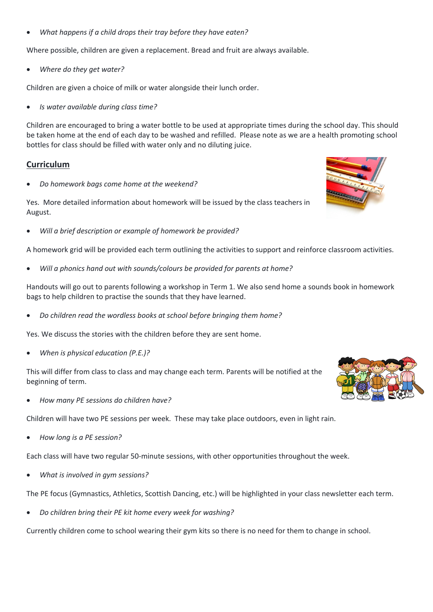• *What happens if a child drops their tray before they have eaten?*

Where possible, children are given a replacement. Bread and fruit are always available.

• *Where do they get water?*

Children are given a choice of milk or water alongside their lunch order.

• *Is water available during class time?*

Children are encouraged to bring a water bottle to be used at appropriate times during the school day. This should be taken home at the end of each day to be washed and refilled. Please note as we are a health promoting school bottles for class should be filled with water only and no diluting juice.

#### **Curriculum**

• *Do homework bags come home at the weekend?*

Yes. More detailed information about homework will be issued by the class teachers in August.

• *Will a brief description or example of homework be provided?*

A homework grid will be provided each term outlining the activities to support and reinforce classroom activities.

• *Will a phonics hand out with sounds/colours be provided for parents at home?*

Handouts will go out to parents following a workshop in Term 1. We also send home a sounds book in homework bags to help children to practise the sounds that they have learned.

• *Do children read the wordless books at school before bringing them home?*

Yes. We discuss the stories with the children before they are sent home.

• *When is physical education (P.E.)?*

This will differ from class to class and may change each term. Parents will be notified at the beginning of term.

• *How many PE sessions do children have?*

Children will have two PE sessions per week. These may take place outdoors, even in light rain.

• *How long is a PE session?*

Each class will have two regular 50-minute sessions, with other opportunities throughout the week.

• *What is involved in gym sessions?*

The PE focus (Gymnastics, Athletics, Scottish Dancing, etc.) will be highlighted in your class newsletter each term.

• *Do children bring their PE kit home every week for washing?*

Currently children come to school wearing their gym kits so there is no need for them to change in school.



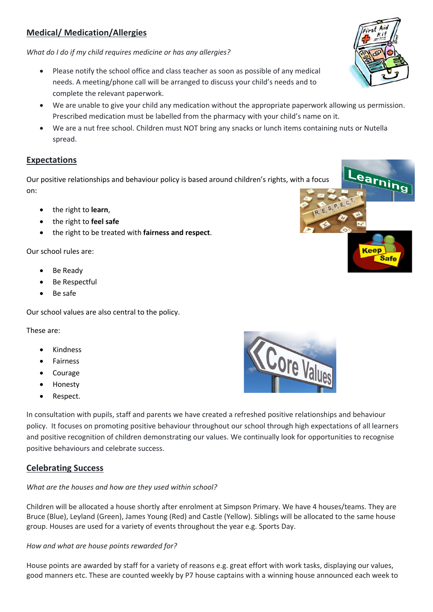### **Medical/ Medication/Allergies**

*What do I do if my child requires medicine or has any allergies?*

- Please notify the school office and class teacher as soon as possible of any medical needs. A meeting/phone call will be arranged to discuss your child's needs and to complete the relevant paperwork.
- We are unable to give your child any medication without the appropriate paperwork allowing us permission. Prescribed medication must be labelled from the pharmacy with your child's name on it.
- We are a nut free school. Children must NOT bring any snacks or lunch items containing nuts or Nutella spread.

#### **Expectations**

Our positive relationships and behaviour policy is based around children's rights, with a focus on:

- the right to **learn**,
- the right to **feel safe**
- the right to be treated with **fairness and respect**.

Our school rules are:

- Be Ready
- Be Respectful
- Be safe

Our school values are also central to the policy.

These are:

- Kindness
- **Fairness**
- Courage
- Honesty
- Respect.

In consultation with pupils, staff and parents we have created a refreshed positive relationships and behaviour policy. It focuses on promoting positive behaviour throughout our school through high expectations of all learners and positive recognition of children demonstrating our values. We continually look for opportunities to recognise positive behaviours and celebrate success.

#### **Celebrating Success**

#### *What are the houses and how are they used within school?*

Children will be allocated a house shortly after enrolment at Simpson Primary. We have 4 houses/teams. They are Bruce (Blue), Leyland (Green), James Young (Red) and Castle (Yellow). Siblings will be allocated to the same house group. Houses are used for a variety of events throughout the year e.g. Sports Day.

#### *How and what are house points rewarded for?*

House points are awarded by staff for a variety of reasons e.g. great effort with work tasks, displaying our values, good manners etc. These are counted weekly by P7 house captains with a winning house announced each week to